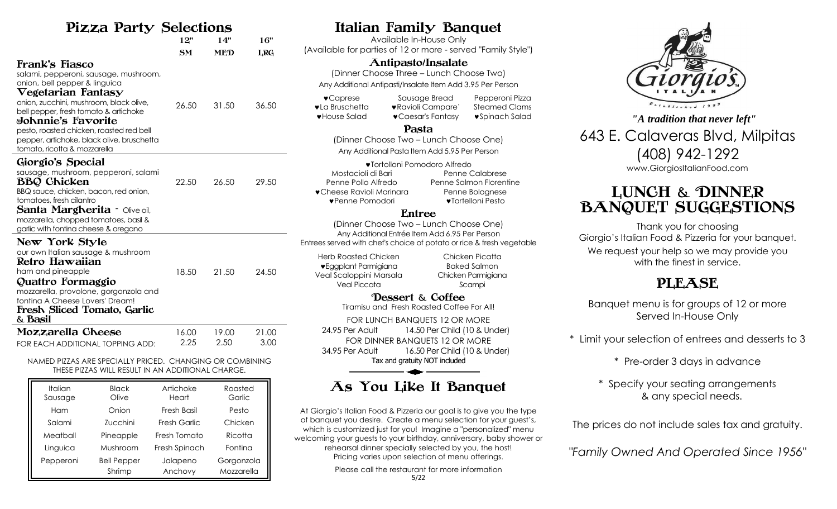## Pizza Party Selections

| 144                                                                                                                                                                                                                                                                                                                                                                             | PULULIUIP |            |            |
|---------------------------------------------------------------------------------------------------------------------------------------------------------------------------------------------------------------------------------------------------------------------------------------------------------------------------------------------------------------------------------|-----------|------------|------------|
|                                                                                                                                                                                                                                                                                                                                                                                 | 12"       | 14"        | 16"        |
|                                                                                                                                                                                                                                                                                                                                                                                 | SM        | <b>MED</b> | <b>LRG</b> |
| Frank's Fiasco<br>salami, pepperoni, sausage, mushroom,<br>onion, bell pepper & linguica<br>$\nabla$ egetarian Fanta $\mathbf{s}\mathbf{y}$<br>onion, zucchini, mushroom, black olive,<br>bell pepper, fresh tomato & artichoke<br>⊌ohnnie's Fa⊽orite<br>pesto, roasted chicken, roasted red bell<br>pepper, artichoke, black olive, bruschetta<br>tomato, ricotta & mozzarella | 26.50     | 31.50      | 36.50      |
| Giorgio's Special<br>sausage, mushroom, pepperoni, salami<br><b>BBQ Chicken</b><br>BBQ sauce, chicken, bacon, red onion,<br>tomatoes, fresh cilantro<br><b>Santa Margherita - Olive oil,</b><br>mozzarella, chopped tomatoes, basil &<br>garlic with fontina cheese & oregano                                                                                                   | 22.50     | 26.50      | 29.50      |
| New York Style<br>our own Italian sausage & mushroom<br>Retro Hawaiian<br>ham and pineapple<br>Quattro Formaggio<br>mozzarella, provolone, gorgonzola and<br>fonting A Cheese Lovers' Dream!<br>Fresh Sliced Tomato, Garlic<br>& Basil                                                                                                                                          | 18.50     | 21.50      | 24.50      |
| Mozzarella Cheese                                                                                                                                                                                                                                                                                                                                                               | 16.00     | 19.00      | 21.00      |
| FOR EACH ADDITIONAL TOPPING ADD:                                                                                                                                                                                                                                                                                                                                                | 2.25      | 2.50       | 3.00       |

NAMED PIZZAS ARE SPECIALLY PRICED. CHANGING OR COMBINING THESE PIZZAS WILL RESULT IN AN ADDITIONAL CHARGE.

| <b>Italian</b><br>Sausage | <b>Black</b><br>Olive | Artichoke<br>Heart | Roasted<br>Garlic |
|---------------------------|-----------------------|--------------------|-------------------|
| Ham                       | Onion                 | Fresh Basil        | Pesto             |
| Salami                    | Zucchini              | Fresh Garlic       | Chicken           |
| Meatball                  | Pineapple             | Fresh Tomato       | Ricotta           |
| Linguica                  | Mushroom              | Fresh Spinach      | Fontina           |
| Pepperoni                 | <b>Bell Pepper</b>    | Jalapeno           | Gorgonzola        |
|                           | Shrimp                | Anchovy            | Mozzarella        |

## Italian Family Banquet

Available In-House Only (Available for parties of 12 or more - served "Family Style")

### Antipasto/Insalate

(Dinner Choose Three – Lunch Choose Two) Any Additional Antipasti/Insalate Item Add 3.95 Per Person

Caprese Sausage Bread Pepperoni Pizza **vla Bruschetta** vRavioli Campare' Steamed Clams **v** House Salad v Caesar's Fantasy v Spinach Salad

#### Pasta

(Dinner Choose Two – Lunch Choose One) Any Additional Pasta Item Add 5.95 Per Person

| ♥Tortolloni Pomodoro Alfredo      |                         |  |  |  |
|-----------------------------------|-------------------------|--|--|--|
| Mostacioli di Bari                | Penne Calabrese         |  |  |  |
| Penne Pollo Alfredo               | Penne Salmon Florentine |  |  |  |
| $\bullet$ Cheese Ravioli Marinara | Penne Bolognese         |  |  |  |
| ♥Penne Pomodori                   | ♥Tortelloni Pesto       |  |  |  |

### Entree

(Dinner Choose Two – Lunch Choose One) Any Additional Entrée Item Add 6.95 Per Person Entrees served with chef's choice of potato or rice & fresh vegetable

Herb Roasted Chicken Chicken Picatta **v** Eggplant Parmigiana **Baked Salmon** Veal Scaloppini Marsala Chicken Parmigiana Veal Piccata Scampi

Dessert & Coffee Tiramisu and Fresh Roasted Coffee For All!

FOR LUNCH BANQUETS 12 OR MORE 24.95 Per Adult 14.50 Per Child (10 & Under) FOR DINNER BANQUETS 12 OR MORE 34.95 Per Adult 16.50 Per Child (10 & Under) Tax and gratuity NOT included

# As You Like It Banquet

At Giorgio's Italian Food & Pizzeria our goal is to give you the type of banquet you desire. Create a menu selection for your guest's, which is customized just for you! Imagine a "personalized" menu welcoming your guests to your birthday, anniversary, baby shower or rehearsal dinner specially selected by you, the host! Pricing varies upon selection of menu offerings.

Please call the restaurant for more information



643 E. Calaveras Blvd, Milpitas (408) 942-1292 www.GiorgiosItalianFood.com *"A tradition that never left"*

# LUNCH & DINNER BANQUET SUGGESTIONS

Thank you for choosing Giorgio's Italian Food & Pizzeria for your banquet. We request your help so we may provide you with the finest in service.

# PLEASE

Banquet menu is for groups of 12 or more Served In-House Only

\* Limit your selection of entrees and desserts to 3

\* Pre-order 3 days in advance

\* Specify your seating arrangements & any special needs.

The prices do not include sales tax and gratuity.

*"Family Owned And Operated Since 1956"*